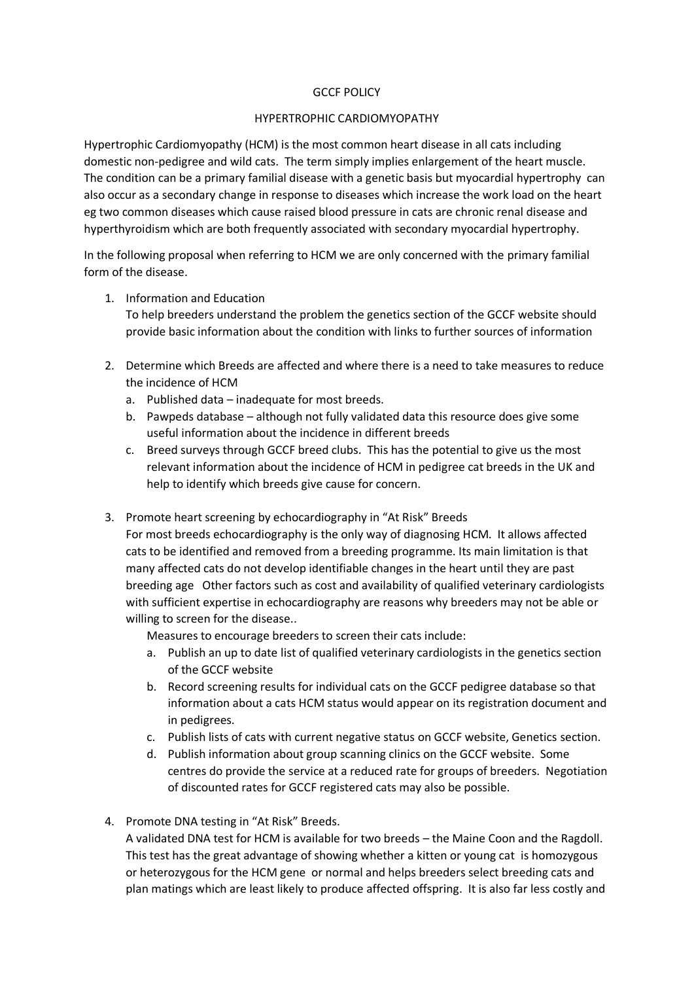## GCCF POLICY

## HYPERTROPHIC CARDIOMYOPATHY

Hypertrophic Cardiomyopathy (HCM) is the most common heart disease in all cats including domestic non-pedigree and wild cats. The term simply implies enlargement of the heart muscle. The condition can be a primary familial disease with a genetic basis but myocardial hypertrophy can also occur as a secondary change in response to diseases which increase the work load on the heart eg two common diseases which cause raised blood pressure in cats are chronic renal disease and hyperthyroidism which are both frequently associated with secondary myocardial hypertrophy.

In the following proposal when referring to HCM we are only concerned with the primary familial form of the disease.

- 1. Information and Education To help breeders understand the problem the genetics section of the GCCF website should provide basic information about the condition with links to further sources of information
- 2. Determine which Breeds are affected and where there is a need to take measures to reduce the incidence of HCM
	- a. Published data inadequate for most breeds.
	- b. Pawpeds database although not fully validated data this resource does give some useful information about the incidence in different breeds
	- c. Breed surveys through GCCF breed clubs. This has the potential to give us the most relevant information about the incidence of HCM in pedigree cat breeds in the UK and help to identify which breeds give cause for concern.
- 3. Promote heart screening by echocardiography in "At Risk" Breeds

For most breeds echocardiography is the only way of diagnosing HCM. It allows affected cats to be identified and removed from a breeding programme. Its main limitation is that many affected cats do not develop identifiable changes in the heart until they are past breeding age Other factors such as cost and availability of qualified veterinary cardiologists with sufficient expertise in echocardiography are reasons why breeders may not be able or willing to screen for the disease..

Measures to encourage breeders to screen their cats include:

- a. Publish an up to date list of qualified veterinary cardiologists in the genetics section of the GCCF website
- b. Record screening results for individual cats on the GCCF pedigree database so that information about a cats HCM status would appear on its registration document and in pedigrees.
- c. Publish lists of cats with current negative status on GCCF website, Genetics section.
- d. Publish information about group scanning clinics on the GCCF website. Some centres do provide the service at a reduced rate for groups of breeders. Negotiation of discounted rates for GCCF registered cats may also be possible.
- 4. Promote DNA testing in "At Risk" Breeds.

A validated DNA test for HCM is available for two breeds – the Maine Coon and the Ragdoll. This test has the great advantage of showing whether a kitten or young cat is homozygous or heterozygous for the HCM gene or normal and helps breeders select breeding cats and plan matings which are least likely to produce affected offspring. It is also far less costly and